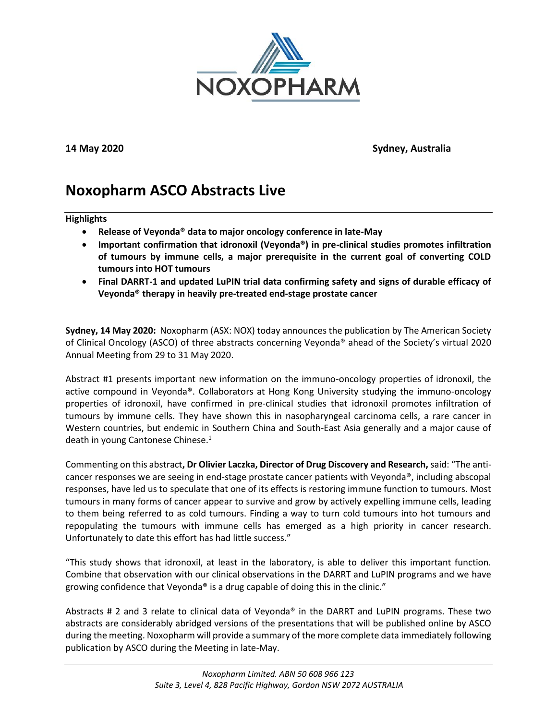

**14 May 2020 Sydney, Australia**

# **Noxopharm ASCO Abstracts Live**

## **Highlights**

- **Release of Veyonda® data to major oncology conference in late-May**
- **Important confirmation that idronoxil (Veyonda®) in pre-clinical studies promotes infiltration of tumours by immune cells, a major prerequisite in the current goal of converting COLD tumours into HOT tumours**
- **Final DARRT-1 and updated LuPIN trial data confirming safety and signs of durable efficacy of Veyonda® therapy in heavily pre-treated end-stage prostate cancer**

**Sydney, 14 May 2020:** Noxopharm (ASX: NOX) today announces the publication by The American Society of Clinical Oncology (ASCO) of three abstracts concerning Veyonda® ahead of the Society's virtual 2020 Annual Meeting from 29 to 31 May 2020.

Abstract #1 presents important new information on the immuno-oncology properties of idronoxil, the active compound in Veyonda®. Collaborators at Hong Kong University studying the immuno-oncology properties of idronoxil, have confirmed in pre-clinical studies that idronoxil promotes infiltration of tumours by immune cells. They have shown this in nasopharyngeal carcinoma cells, a rare cancer in Western countries, but endemic in Southern China and South-East Asia generally and a major cause of death in young Cantonese Chinese.<sup>1</sup>

Commenting on this abstract**, Dr Olivier Laczka, Director of Drug Discovery and Research,** said: "The anticancer responses we are seeing in end-stage prostate cancer patients with Veyonda®, including abscopal responses, have led us to speculate that one of its effects is restoring immune function to tumours. Most tumours in many forms of cancer appear to survive and grow by actively expelling immune cells, leading to them being referred to as cold tumours. Finding a way to turn cold tumours into hot tumours and repopulating the tumours with immune cells has emerged as a high priority in cancer research. Unfortunately to date this effort has had little success."

"This study shows that idronoxil, at least in the laboratory, is able to deliver this important function. Combine that observation with our clinical observations in the DARRT and LuPIN programs and we have growing confidence that Veyonda® is a drug capable of doing this in the clinic."

Abstracts # 2 and 3 relate to clinical data of Veyonda<sup>®</sup> in the DARRT and LuPIN programs. These two abstracts are considerably abridged versions of the presentations that will be published online by ASCO during the meeting. Noxopharm will provide a summary of the more complete data immediately following publication by ASCO during the Meeting in late-May.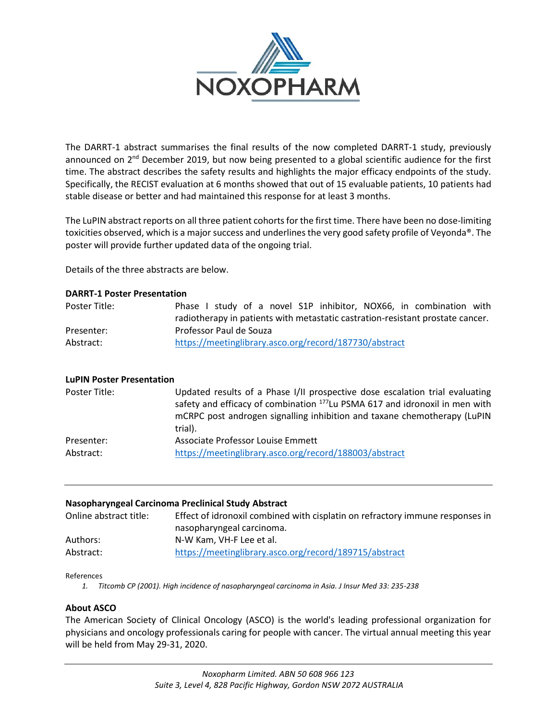

The DARRT-1 abstract summarises the final results of the now completed DARRT-1 study, previously announced on 2<sup>nd</sup> December 2019, but now being presented to a global scientific audience for the first time. The abstract describes the safety results and highlights the major efficacy endpoints of the study. Specifically, the RECIST evaluation at 6 months showed that out of 15 evaluable patients, 10 patients had stable disease or better and had maintained this response for at least 3 months.

The LuPIN abstract reports on all three patient cohorts for the first time. There have been no dose-limiting toxicities observed, which is a major success and underlines the very good safety profile of Veyonda®. The poster will provide further updated data of the ongoing trial.

Details of the three abstracts are below.

# **DARRT-1 Poster Presentation**

| Poster Title: | Phase I study of a novel S1P inhibitor, NOX66, in combination with             |
|---------------|--------------------------------------------------------------------------------|
|               | radiotherapy in patients with metastatic castration-resistant prostate cancer. |
| Presenter:    | Professor Paul de Souza                                                        |
| Abstract:     | https://meetinglibrary.asco.org/record/187730/abstract                         |

# **LuPIN Poster Presentation**

| Poster Title: | Updated results of a Phase I/II prospective dose escalation trial evaluating<br>safety and efficacy of combination <sup>177</sup> Lu PSMA 617 and idronoxil in men with<br>mCRPC post androgen signalling inhibition and taxane chemotherapy (LuPIN<br>trial). |
|---------------|----------------------------------------------------------------------------------------------------------------------------------------------------------------------------------------------------------------------------------------------------------------|
| Presenter:    | Associate Professor Louise Emmett                                                                                                                                                                                                                              |
| Abstract:     | https://meetinglibrary.asco.org/record/188003/abstract                                                                                                                                                                                                         |

#### **Nasopharyngeal Carcinoma Preclinical Study Abstract**

| Online abstract title: | Effect of idronoxil combined with cisplatin on refractory immune responses in |
|------------------------|-------------------------------------------------------------------------------|
|                        | nasopharyngeal carcinoma.                                                     |
| Authors:               | N-W Kam. VH-F Lee et al.                                                      |
| Abstract:              | https://meetinglibrary.asco.org/record/189715/abstract                        |

References

*1. Titcomb CP (2001). High incidence of nasopharyngeal carcinoma in Asia. J Insur Med 33: 235-238*

# **About ASCO**

The American Society of Clinical Oncology (ASCO) is the world's leading professional organization for physicians and oncology professionals caring for people with cancer. The virtual annual meeting this year will be held from May 29-31, 2020.